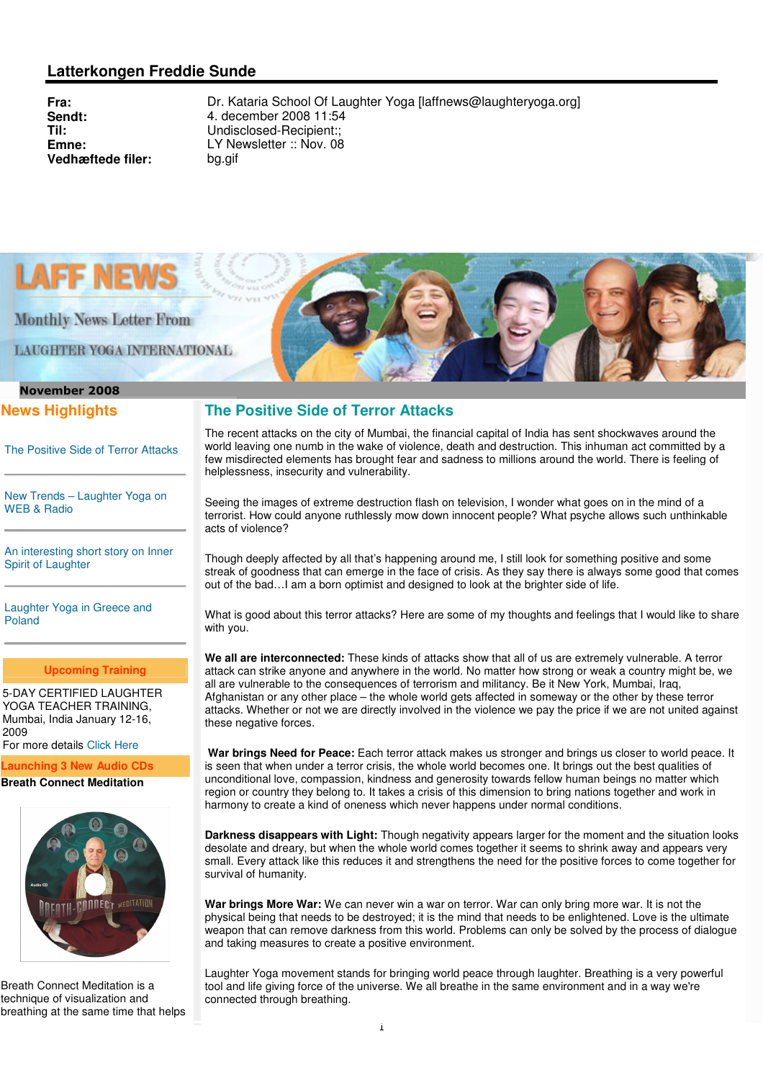## **Latterkongen Freddie Sunde**

**Vedhæftede filer:** bg.gif

**Fra:** Dr. Kataria School Of Laughter Yoga [laffnews@laughteryoga.org]<br> **Sendt:** 4. december 2008 11:54 **Sendt:** 4. december 2008 11:54 **Til:** Undisclosed-Recipient:: **Emne:** LY Newsletter :: Nov. 08



**Monthly News Letter From** 

**LAUGHTER YOGA INTERNATIONAL** 

# November 2008

## **News Highlights**

The Positive Side of Terror Attacks

New Trends – Laughter Yoga on WEB & Radio

An interesting short story on Inner Spirit of Laughter

Laughter Yoga in Greece and Poland

#### **Upcoming Training**

5-DAY CERTIFIED LAUGHTER YOGA TEACHER TRAINING, Mumbai, India January 12-16, 2009

For more details Click Here

**Launching 3 New Audio CDs**

#### **Breath Connect Meditation**



Breath Connect Meditation is a technique of visualization and breathing at the same time that helps



The recent attacks on the city of Mumbai, the financial capital of India has sent shockwaves around the world leaving one numb in the wake of violence, death and destruction. This inhuman act committed by a few misdirected elements has brought fear and sadness to millions around the world. There is feeling of helplessness, insecurity and vulnerability.

Seeing the images of extreme destruction flash on television, I wonder what goes on in the mind of a terrorist. How could anyone ruthlessly mow down innocent people? What psyche allows such unthinkable acts of violence?

Though deeply affected by all that's happening around me, I still look for something positive and some streak of goodness that can emerge in the face of crisis. As they say there is always some good that comes out of the bad…I am a born optimist and designed to look at the brighter side of life.

What is good about this terror attacks? Here are some of my thoughts and feelings that I would like to share with you.

**We all are interconnected:** These kinds of attacks show that all of us are extremely vulnerable. A terror attack can strike anyone and anywhere in the world. No matter how strong or weak a country might be, we all are vulnerable to the consequences of terrorism and militancy. Be it New York, Mumbai, Iraq, Afghanistan or any other place – the whole world gets affected in someway or the other by these terror attacks. Whether or not we are directly involved in the violence we pay the price if we are not united against these negative forces.

 **War brings Need for Peace:** Each terror attack makes us stronger and brings us closer to world peace. It is seen that when under a terror crisis, the whole world becomes one. It brings out the best qualities of unconditional love, compassion, kindness and generosity towards fellow human beings no matter which region or country they belong to. It takes a crisis of this dimension to bring nations together and work in harmony to create a kind of oneness which never happens under normal conditions.

**Darkness disappears with Light:** Though negativity appears larger for the moment and the situation looks desolate and dreary, but when the whole world comes together it seems to shrink away and appears very small. Every attack like this reduces it and strengthens the need for the positive forces to come together for survival of humanity.

**War brings More War:** We can never win a war on terror. War can only bring more war. It is not the physical being that needs to be destroyed; it is the mind that needs to be enlightened. Love is the ultimate weapon that can remove darkness from this world. Problems can only be solved by the process of dialogue and taking measures to create a positive environment.

Laughter Yoga movement stands for bringing world peace through laughter. Breathing is a very powerful tool and life giving force of the universe. We all breathe in the same environment and in a way we're connected through breathing.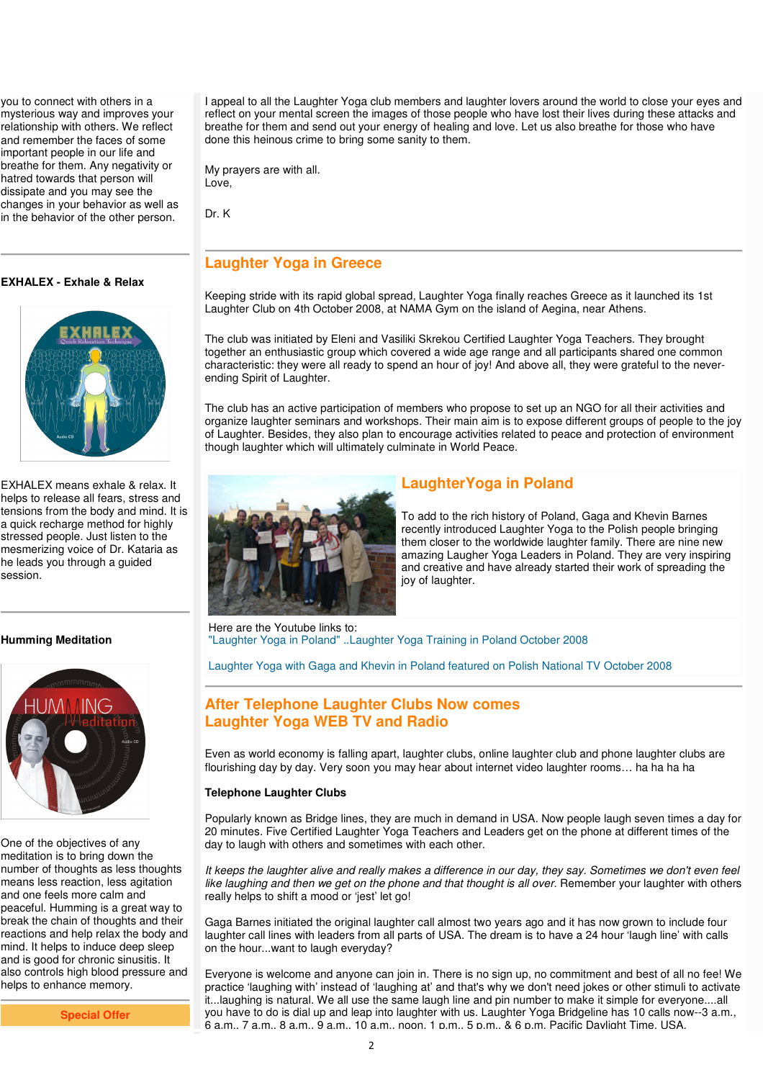you to connect with others in a mysterious way and improves your relationship with others. We reflect and remember the faces of some important people in our life and breathe for them. Any negativity or hatred towards that person will dissipate and you may see the changes in your behavior as well as in the behavior of the other person.

#### **EXHALEX - Exhale & Relax**



EXHALEX means exhale & relax. It helps to release all fears, stress and tensions from the body and mind. It is a quick recharge method for highly stressed people. Just listen to the mesmerizing voice of Dr. Kataria as he leads you through a guided session.

#### **Humming Meditation**



One of the objectives of any meditation is to bring down the number of thoughts as less thoughts means less reaction, less agitation and one feels more calm and peaceful. Humming is a great way to break the chain of thoughts and their reactions and help relax the body and mind. It helps to induce deep sleep and is good for chronic sinusitis. It also controls high blood pressure and helps to enhance memory.

**Special Offer** 

I appeal to all the Laughter Yoga club members and laughter lovers around the world to close your eyes and reflect on your mental screen the images of those people who have lost their lives during these attacks and breathe for them and send out your energy of healing and love. Let us also breathe for those who have done this heinous crime to bring some sanity to them.

My prayers are with all. Love,

Dr. K

## **Laughter Yoga in Greece**

Keeping stride with its rapid global spread, Laughter Yoga finally reaches Greece as it launched its 1st Laughter Club on 4th October 2008, at NAMA Gym on the island of Aegina, near Athens.

The club was initiated by Eleni and Vasiliki Skrekou Certified Laughter Yoga Teachers. They brought together an enthusiastic group which covered a wide age range and all participants shared one common characteristic: they were all ready to spend an hour of joy! And above all, they were grateful to the neverending Spirit of Laughter.

The club has an active participation of members who propose to set up an NGO for all their activities and organize laughter seminars and workshops. Their main aim is to expose different groups of people to the joy of Laughter. Besides, they also plan to encourage activities related to peace and protection of environment though laughter which will ultimately culminate in World Peace.



### **LaughterYoga in Poland**

To add to the rich history of Poland, Gaga and Khevin Barnes recently introduced Laughter Yoga to the Polish people bringing them closer to the worldwide laughter family. There are nine new amazing Laugher Yoga Leaders in Poland. They are very inspiring and creative and have already started their work of spreading the joy of laughter.

Here are the Youtube links to: "Laughter Yoga in Poland" ..Laughter Yoga Training in Poland October 2008

Laughter Yoga with Gaga and Khevin in Poland featured on Polish National TV October 2008

## **After Telephone Laughter Clubs Now comes Laughter Yoga WEB TV and Radio**

Even as world economy is falling apart, laughter clubs, online laughter club and phone laughter clubs are flourishing day by day. Very soon you may hear about internet video laughter rooms… ha ha ha ha

#### **Telephone Laughter Clubs**

Popularly known as Bridge lines, they are much in demand in USA. Now people laugh seven times a day for 20 minutes. Five Certified Laughter Yoga Teachers and Leaders get on the phone at different times of the day to laugh with others and sometimes with each other.

It keeps the laughter alive and really makes a difference in our day, they say. Sometimes we don't even feel like laughing and then we get on the phone and that thought is all over. Remember your laughter with others really helps to shift a mood or 'jest' let go!

Gaga Barnes initiated the original laughter call almost two years ago and it has now grown to include four laughter call lines with leaders from all parts of USA. The dream is to have a 24 hour 'laugh line' with calls on the hour...want to laugh everyday?

Everyone is welcome and anyone can join in. There is no sign up, no commitment and best of all no fee! We practice 'laughing with' instead of 'laughing at' and that's why we don't need jokes or other stimuli to activate it...laughing is natural. We all use the same laugh line and pin number to make it simple for everyone....all you have to do is dial up and leap into laughter with us. Laughter Yoga Bridgeline has 10 calls now--3 a.m., 6 a.m., 7 a.m., 8 a.m., 9 a.m., 10 a.m., noon, 1 p.m., 5 p.m., & 6 p.m. Pacific Daylight Time, USA.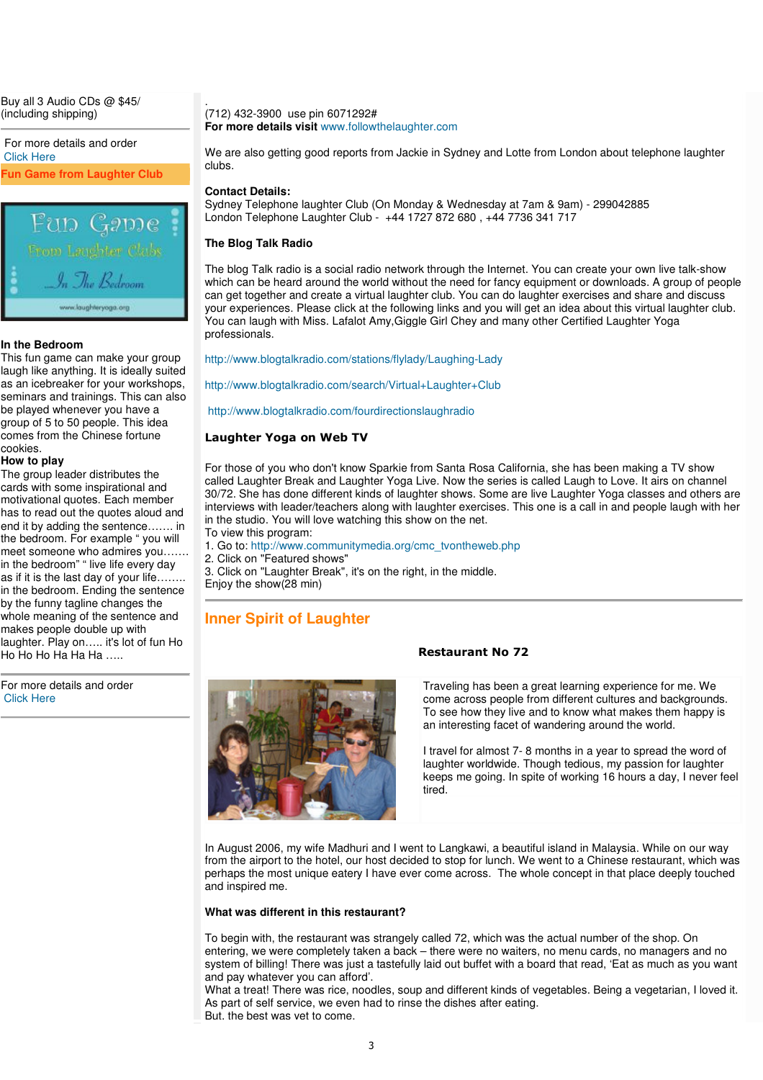Buy all 3 Audio CDs @ \$45/ (including shipping)

For more details and order Click Here **Fun Game from Laughter Club**



#### **In the Bedroom**

Ī

This fun game can make your group laugh like anything. It is ideally suited as an icebreaker for your workshops, seminars and trainings. This can also be played whenever you have a group of 5 to 50 people. This idea comes from the Chinese fortune cookies.

#### **How to play**

The group leader distributes the cards with some inspirational and motivational quotes. Each member has to read out the quotes aloud and end it by adding the sentence……. in the bedroom. For example " you will meet someone who admires you……. in the bedroom" " live life every day as if it is the last day of your life…….. in the bedroom. Ending the sentence by the funny tagline changes the whole meaning of the sentence and makes people double up with laughter. Play on….. it's lot of fun Ho Ho Ho Ho Ha Ha  $\ldots$ 

For more details and order Click Here

(712) 432-3900 use pin 6071292# **For more details visit** www.followthelaughter.com

We are also getting good reports from Jackie in Sydney and Lotte from London about telephone laughter clubs.

**Contact Details:**

.

Sydney Telephone laughter Club (On Monday & Wednesday at 7am & 9am) - 299042885 London Telephone Laughter Club - +44 1727 872 680 , +44 7736 341 717

#### **The Blog Talk Radio**

The blog Talk radio is a social radio network through the Internet. You can create your own live talk-show which can be heard around the world without the need for fancy equipment or downloads. A group of people can get together and create a virtual laughter club. You can do laughter exercises and share and discuss your experiences. Please click at the following links and you will get an idea about this virtual laughter club. You can laugh with Miss. Lafalot Amy,Giggle Girl Chey and many other Certified Laughter Yoga professionals.

http://www.blogtalkradio.com/stations/flylady/Laughing-Lady

http://www.blogtalkradio.com/search/Virtual+Laughter+Club

http://www.blogtalkradio.com/fourdirectionslaughradio

#### Laughter Yoga on Web TV

For those of you who don't know Sparkie from Santa Rosa California, she has been making a TV show called Laughter Break and Laughter Yoga Live. Now the series is called Laugh to Love. It airs on channel 30/72. She has done different kinds of laughter shows. Some are live Laughter Yoga classes and others are interviews with leader/teachers along with laughter exercises. This one is a call in and people laugh with her in the studio. You will love watching this show on the net.

To view this program:

1. Go to: http://www.communitymedia.org/cmc\_tvontheweb.php

2. Click on "Featured shows"

3. Click on "Laughter Break", it's on the right, in the middle.

Enjoy the show(28 min)

### **Inner Spirit of Laughter**



#### Restaurant No 72

Traveling has been a great learning experience for me. We come across people from different cultures and backgrounds. To see how they live and to know what makes them happy is an interesting facet of wandering around the world.

I travel for almost 7- 8 months in a year to spread the word of laughter worldwide. Though tedious, my passion for laughter keeps me going. In spite of working 16 hours a day, I never feel tired.

In August 2006, my wife Madhuri and I went to Langkawi, a beautiful island in Malaysia. While on our way from the airport to the hotel, our host decided to stop for lunch. We went to a Chinese restaurant, which was perhaps the most unique eatery I have ever come across. The whole concept in that place deeply touched and inspired me.

#### **What was different in this restaurant?**

To begin with, the restaurant was strangely called 72, which was the actual number of the shop. On entering, we were completely taken a back – there were no waiters, no menu cards, no managers and no system of billing! There was just a tastefully laid out buffet with a board that read, 'Eat as much as you want and pay whatever you can afford'.

What a treat! There was rice, noodles, soup and different kinds of vegetables. Being a vegetarian, I loved it. As part of self service, we even had to rinse the dishes after eating. But, the best was yet to come.